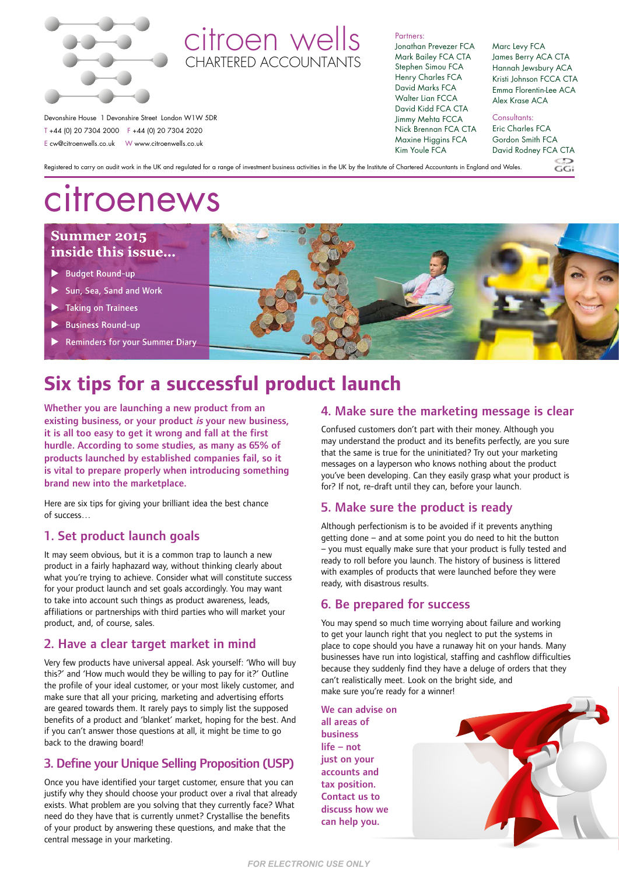

### citroen wells CHARTERED ACCOUNTANT

Partners: Jonathan Prevezer FCA Mark Bailey FCA CTA Stephen Simou FCA Henry Charles FCA David Marks FCA Walter Lian FCCA David Kidd FCA CTA Jimmy Mehta FCCA Nick Brennan FCA CTA Maxine Higgins FCA Kim Youle FCA

#### Marc Levy FCA James Berry ACA CTA Hannah Jewsbury ACA Kristi Johnson FCCA CTA Emma Florentin-Lee ACA Alex Krase ACA

Devonshire House 1 Devonshire Street London W1W 5DR T +44 (0) 20 7304 2000 F +44 (0) 20 7304 2020 E cw@citroenwells.co.uk W www.citroenwells.co.uk

Consultants:

Eric Charles FCA Gordon Smith FCA David Rodney FCA CTA

 $CCT$ 

Registered to carry on audit work in the UK and regulated for a range of investment business activities in the UK by the Institute of Chartered Accountants in England and Wales.

# citroenews

### **Summer 2015** inside this issue...

- Budget Round-up
- Sun, Sea, Sand and Work
- Taking on Trainees
- **Business Round-up**
- Reminders for your Summer Diary



## **Six tips for a successful product launch**

Whether you are launching a new product from an existing business, or your product is your new business, it is all too easy to get it wrong and fall at the first hurdle. According to some studies, as many as 65% of products launched by established companies fail, so it is vital to prepare properly when introducing something brand new into the marketplace.

Here are six tips for giving your brilliant idea the best chance of success…

### 1. Set product launch goals

It may seem obvious, but it is a common trap to launch a new product in a fairly haphazard way, without thinking clearly about what you're trying to achieve. Consider what will constitute success for your product launch and set goals accordingly. You may want to take into account such things as product awareness, leads, affiliations or partnerships with third parties who will market your product, and, of course, sales.

### 2. Have a clear target market in mind

Very few products have universal appeal. Ask yourself: 'Who will buy this?' and 'How much would they be willing to pay for it?' Outline the profile of your ideal customer, or your most likely customer, and make sure that all your pricing, marketing and advertising efforts are geared towards them. It rarely pays to simply list the supposed benefits of a product and 'blanket' market, hoping for the best. And if you can't answer those questions at all, it might be time to go back to the drawing board!

### 3. Define your Unique Selling Proposition (USP)

Once you have identified your target customer, ensure that you can justify why they should choose your product over a rival that already exists. What problem are you solving that they currently face? What need do they have that is currently unmet? Crystallise the benefits of your product by answering these questions, and make that the central message in your marketing.

### 4. Make sure the marketing message is clear

Confused customers don't part with their money. Although you may understand the product and its benefits perfectly, are you sure that the same is true for the uninitiated? Try out your marketing messages on a layperson who knows nothing about the product you've been developing. Can they easily grasp what your product is for? If not, re-draft until they can, before your launch.

### 5. Make sure the product is ready

Although perfectionism is to be avoided if it prevents anything getting done – and at some point you do need to hit the button – you must equally make sure that your product is fully tested and ready to roll before you launch. The history of business is littered with examples of products that were launched before they were ready, with disastrous results.

### 6. Be prepared for success

You may spend so much time worrying about failure and working to get your launch right that you neglect to put the systems in place to cope should you have a runaway hit on your hands. Many businesses have run into logistical, staffing and cashflow difficulties because they suddenly find they have a deluge of orders that they can't realistically meet. Look on the bright side, and make sure you're ready for a winner!

We can advise on all areas of business life – not just on your accounts and tax position. Contact us to discuss how we can help you.

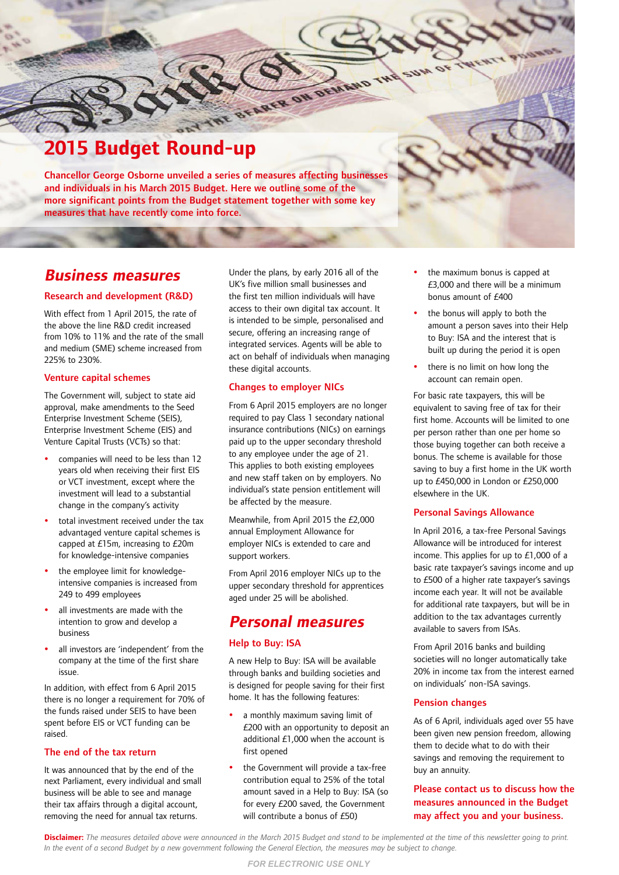### **2015 Budget Round-up**

Chancellor George Osborne unveiled a series of measures affecting businesses and individuals in his March 2015 Budget. Here we outline some of the more significant points from the Budget statement together with some key measures that have recently come into force.

### **Business measures**

### Research and development (R&D)

With effect from 1 April 2015, the rate of the above the line R&D credit increased from 10% to 11% and the rate of the small and medium (SME) scheme increased from 225% to 230%.

### Venture capital schemes

The Government will, subject to state aid approval, make amendments to the Seed Enterprise Investment Scheme (SEIS), Enterprise Investment Scheme (EIS) and Venture Capital Trusts (VCTs) so that:

- companies will need to be less than 12 years old when receiving their first EIS or VCT investment, except where the investment will lead to a substantial change in the company's activity
- total investment received under the tax advantaged venture capital schemes is capped at £15m, increasing to £20m for knowledge-intensive companies
- the employee limit for knowledgeintensive companies is increased from 249 to 499 employees
- all investments are made with the intention to grow and develop a business
- all investors are 'independent' from the company at the time of the first share issue.

In addition, with effect from 6 April 2015 there is no longer a requirement for 70% of the funds raised under SEIS to have been spent before EIS or VCT funding can be raised.

### The end of the tax return

It was announced that by the end of the next Parliament, every individual and small business will be able to see and manage their tax affairs through a digital account, removing the need for annual tax returns.

Under the plans, by early 2016 all of the UK's five million small businesses and the first ten million individuals will have access to their own digital tax account. It is intended to be simple, personalised and secure, offering an increasing range of integrated services. Agents will be able to act on behalf of individuals when managing these digital accounts.

THE SERVER ON DEVISION

### Changes to employer NICs

From 6 April 2015 employers are no longer required to pay Class 1 secondary national insurance contributions (NICs) on earnings paid up to the upper secondary threshold to any employee under the age of 21. This applies to both existing employees and new staff taken on by employers. No individual's state pension entitlement will be affected by the measure.

Meanwhile, from April 2015 the £2,000 annual Employment Allowance for employer NICs is extended to care and support workers.

From April 2016 employer NICs up to the upper secondary threshold for apprentices aged under 25 will be abolished.

### **Personal measures**

### Help to Buy: ISA

A new Help to Buy: ISA will be available through banks and building societies and is designed for people saving for their first home. It has the following features:

- a monthly maximum saving limit of £200 with an opportunity to deposit an additional £1,000 when the account is first opened
- the Government will provide a tax-free contribution equal to 25% of the total amount saved in a Help to Buy: ISA (so for every £200 saved, the Government will contribute a bonus of £50)
- the maximum bonus is capped at £3,000 and there will be a minimum bonus amount of £400
- the bonus will apply to both the amount a person saves into their Help to Buy: ISA and the interest that is built up during the period it is open
- there is no limit on how long the account can remain open.

For basic rate taxpayers, this will be equivalent to saving free of tax for their first home. Accounts will be limited to one per person rather than one per home so those buying together can both receive a bonus. The scheme is available for those saving to buy a first home in the UK worth up to £450,000 in London or £250,000 elsewhere in the UK.

### Personal Savings Allowance

In April 2016, a tax-free Personal Savings Allowance will be introduced for interest income. This applies for up to £1,000 of a basic rate taxpayer's savings income and up to £500 of a higher rate taxpayer's savings income each year. It will not be available for additional rate taxpayers, but will be in addition to the tax advantages currently available to savers from ISAs.

From April 2016 banks and building societies will no longer automatically take 20% in income tax from the interest earned on individuals' non-ISA savings.

### Pension changes

As of 6 April, individuals aged over 55 have been given new pension freedom, allowing them to decide what to do with their savings and removing the requirement to buy an annuity.

### Please contact us to discuss how the measures announced in the Budget may affect you and your business.

**Disclaimer:** *The measures detailed above were announced in the March 2015 Budget and stand to be implemented at the time of this newsletter going to print. In the event of a second Budget by a new government following the General Election, the measures may be subject to change.*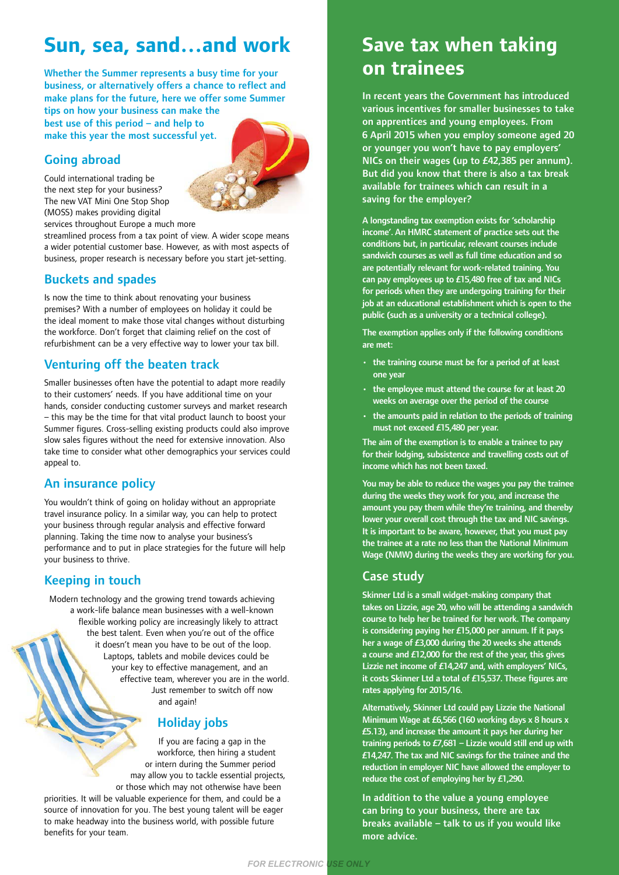### **Sun, sea, sand…and work**

Whether the Summer represents a busy time for your business, or alternatively offers a chance to reflect and make plans for the future, here we offer some Summer tips on how your business can make the

best use of this period – and help to make this year the most successful yet.

### Going abroad



Could international trading be the next step for your business? The new VAT Mini One Stop Shop (MOSS) makes providing digital services throughout Europe a much more

streamlined process from a tax point of view. A wider scope means a wider potential customer base. However, as with most aspects of business, proper research is necessary before you start jet-setting.

### Buckets and spades

Is now the time to think about renovating your business premises? With a number of employees on holiday it could be the ideal moment to make those vital changes without disturbing the workforce. Don't forget that claiming relief on the cost of refurbishment can be a very effective way to lower your tax bill.

### Venturing off the beaten track

Smaller businesses often have the potential to adapt more readily to their customers' needs. If you have additional time on your hands, consider conducting customer surveys and market research – this may be the time for that vital product launch to boost your Summer figures. Cross-selling existing products could also improve slow sales figures without the need for extensive innovation. Also take time to consider what other demographics your services could appeal to.

### An insurance policy

You wouldn't think of going on holiday without an appropriate travel insurance policy. In a similar way, you can help to protect your business through regular analysis and effective forward planning. Taking the time now to analyse your business's performance and to put in place strategies for the future will help your business to thrive.

### Keeping in touch

Modern technology and the growing trend towards achieving a work-life balance mean businesses with a well-known flexible working policy are increasingly likely to attract the best talent. Even when you're out of the office it doesn't mean you have to be out of the loop. Laptops, tablets and mobile devices could be your key to effective management, and an effective team, wherever you are in the world. Just remember to switch off now and again!

### Holiday jobs

If you are facing a gap in the workforce, then hiring a student or intern during the Summer period may allow you to tackle essential projects, or those which may not otherwise have been

*FOR ELECTRONIC USE ONLY*

priorities. It will be valuable experience for them, and could be a source of innovation for you. The best young talent will be eager to make headway into the business world, with possible future benefits for your team.

### **Save tax when taking on trainees**

In recent years the Government has introduced various incentives for smaller businesses to take on apprentices and young employees. From 6 April 2015 when you employ someone aged 20 or younger you won't have to pay employers' NICs on their wages (up to £42,385 per annum). But did you know that there is also a tax break available for trainees which can result in a saving for the employer?

A longstanding tax exemption exists for 'scholarship income'. An HMRC statement of practice sets out the conditions but, in particular, relevant courses include sandwich courses as well as full time education and so are potentially relevant for work-related training. You can pay employees up to £15,480 free of tax and NICs for periods when they are undergoing training for their job at an educational establishment which is open to the public (such as a university or a technical college).

The exemption applies only if the following conditions are met:

- the training course must be for a period of at least one year
- the employee must attend the course for at least 20 weeks on average over the period of the course
- the amounts paid in relation to the periods of training must not exceed £15,480 per year.

The aim of the exemption is to enable a trainee to pay for their lodging, subsistence and travelling costs out of income which has not been taxed.

You may be able to reduce the wages you pay the trainee during the weeks they work for you, and increase the amount you pay them while they're training, and thereby lower your overall cost through the tax and NIC savings. It is important to be aware, however, that you must pay the trainee at a rate no less than the National Minimum Wage (NMW) during the weeks they are working for you.

### Case study

Skinner Ltd is a small widget-making company that takes on Lizzie, age 20, who will be attending a sandwich course to help her be trained for her work. The company is considering paying her £15,000 per annum. If it pays her a wage of £3,000 during the 20 weeks she attends a course and £12,000 for the rest of the year, this gives Lizzie net income of £14,247 and, with employers' NICs, it costs Skinner Ltd a total of £15,537. These figures are rates applying for 2015/16.

Alternatively, Skinner Ltd could pay Lizzie the National Minimum Wage at £6,566 (160 working days x 8 hours x £5.13), and increase the amount it pays her during her training periods to  $E7,681 -$  Lizzie would still end up with £14,247. The tax and NIC savings for the trainee and the reduction in employer NIC have allowed the employer to reduce the cost of employing her by £1,290.

In addition to the value a young employee can bring to your business, there are tax breaks available – talk to us if you would like more advice.